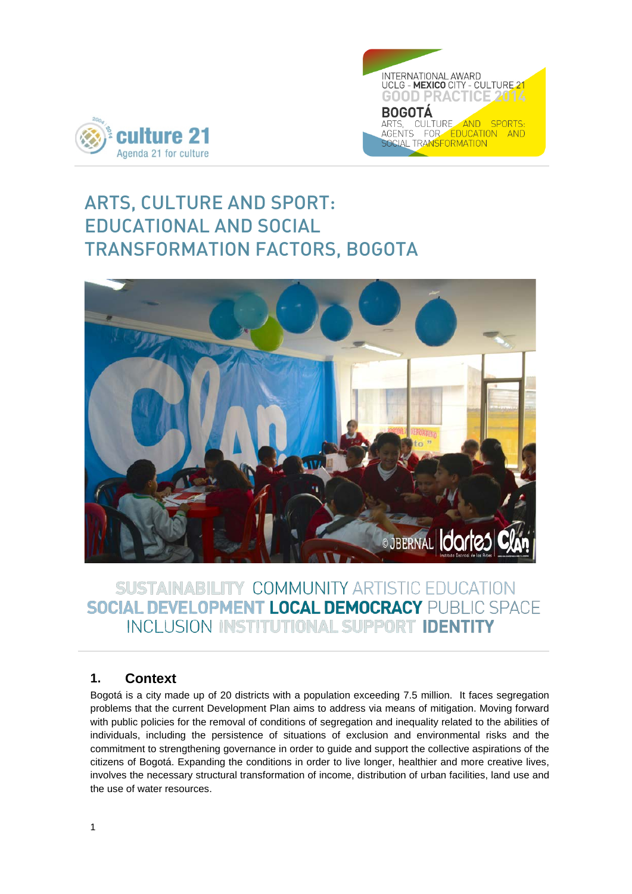



# ARTS, CULTURE AND SPORT: EDUCATIONAL AND SOCIAL TRANSFORMATION FACTORS, BOGOTA



## SUSTAINABILITY COMMUNITY ARTISTIC EDUCATION **SOCIAL DEVELOPMENT LOCAL DEMOCRACY PUBLIC SPACE** INCLUSION INSTITUTIONAL SUPPORT IDENTITY

## **1. Context**

Bogotá is a city made up of 20 districts with a population exceeding 7.5 million. It faces segregation problems that the current Development Plan aims to address via means of mitigation. Moving forward with public policies for the removal of conditions of segregation and inequality related to the abilities of individuals, including the persistence of situations of exclusion and environmental risks and the commitment to strengthening governance in order to guide and support the collective aspirations of the citizens of Bogotá. Expanding the conditions in order to live longer, healthier and more creative lives, involves the necessary structural transformation of income, distribution of urban facilities, land use and the use of water resources.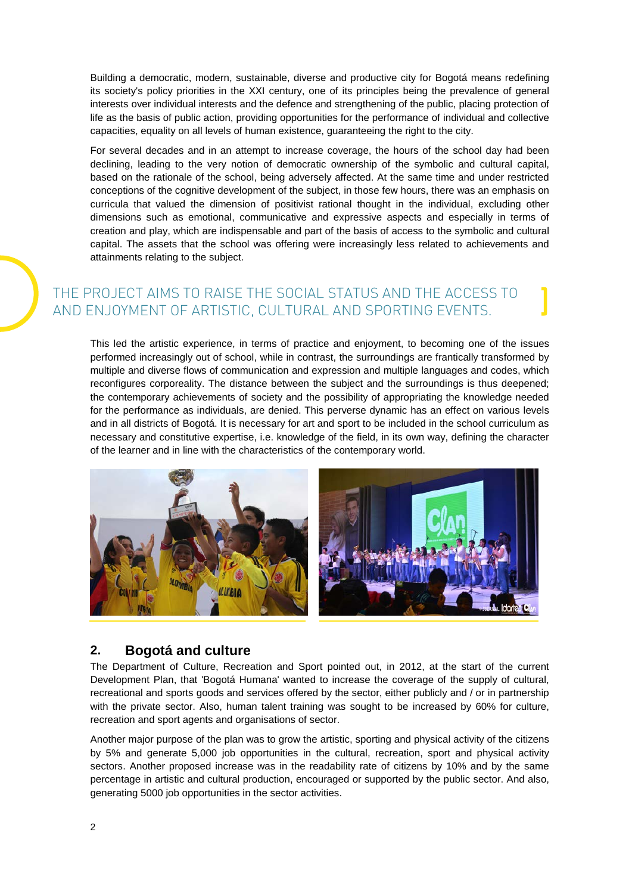Building a democratic, modern, sustainable, diverse and productive city for Bogotá means redefining its society's policy priorities in the XXI century, one of its principles being the prevalence of general interests over individual interests and the defence and strengthening of the public, placing protection of life as the basis of public action, providing opportunities for the performance of individual and collective capacities, equality on all levels of human existence, guaranteeing the right to the city.

For several decades and in an attempt to increase coverage, the hours of the school day had been declining, leading to the very notion of democratic ownership of the symbolic and cultural capital, based on the rationale of the school, being adversely affected. At the same time and under restricted conceptions of the cognitive development of the subject, in those few hours, there was an emphasis on curricula that valued the dimension of positivist rational thought in the individual, excluding other dimensions such as emotional, communicative and expressive aspects and especially in terms of creation and play, which are indispensable and part of the basis of access to the symbolic and cultural capital. The assets that the school was offering were increasingly less related to achievements and attainments relating to the subject.

## THE PROJECT AIMS TO RAISE THE SOCIAL STATUS AND THE ACCESS TO AND ENJOYMENT OF ARTISTIC, CULTURAL AND SPORTING EVENTS.

This led the artistic experience, in terms of practice and enjoyment, to becoming one of the issues performed increasingly out of school, while in contrast, the surroundings are frantically transformed by multiple and diverse flows of communication and expression and multiple languages and codes, which reconfigures corporeality. The distance between the subject and the surroundings is thus deepened; the contemporary achievements of society and the possibility of appropriating the knowledge needed for the performance as individuals, are denied. This perverse dynamic has an effect on various levels and in all districts of Bogotá. It is necessary for art and sport to be included in the school curriculum as necessary and constitutive expertise, i.e. knowledge of the field, in its own way, defining the character of the learner and in line with the characteristics of the contemporary world.



## **2. Bogotá and culture**

The Department of Culture, Recreation and Sport pointed out, in 2012, at the start of the current Development Plan, that 'Bogotá Humana' wanted to increase the coverage of the supply of cultural, recreational and sports goods and services offered by the sector, either publicly and / or in partnership with the private sector. Also, human talent training was sought to be increased by 60% for culture, recreation and sport agents and organisations of sector.

Another major purpose of the plan was to grow the artistic, sporting and physical activity of the citizens by 5% and generate 5,000 job opportunities in the cultural, recreation, sport and physical activity sectors. Another proposed increase was in the readability rate of citizens by 10% and by the same percentage in artistic and cultural production, encouraged or supported by the public sector. And also, generating 5000 job opportunities in the sector activities.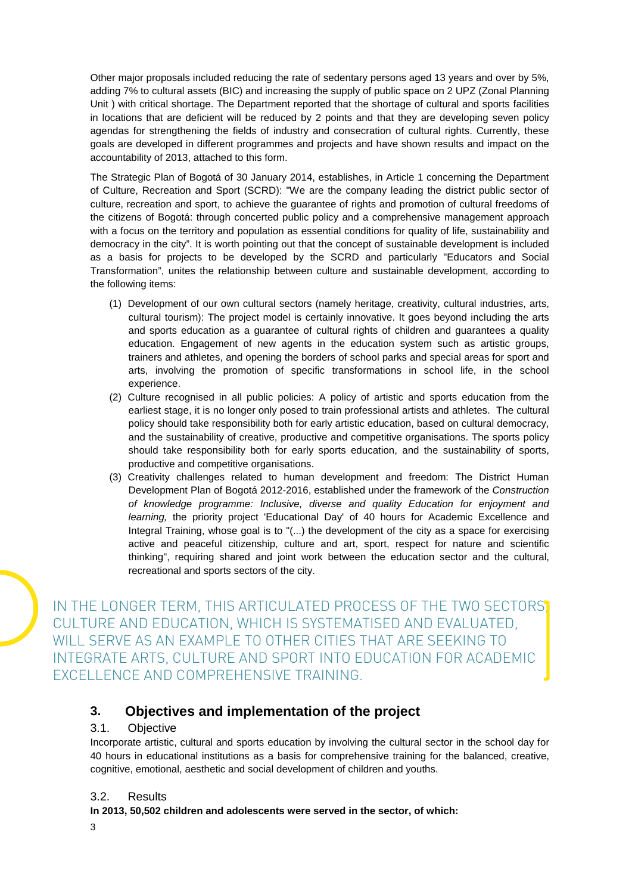Other major proposals included reducing the rate of sedentary persons aged 13 years and over by 5%, adding 7% to cultural assets (BIC) and increasing the supply of public space on 2 UPZ (Zonal Planning Unit ) with critical shortage. The Department reported that the shortage of cultural and sports facilities in locations that are deficient will be reduced by 2 points and that they are developing seven policy agendas for strengthening the fields of industry and consecration of cultural rights. Currently, these goals are developed in different programmes and projects and have shown results and impact on the accountability of 2013, attached to this form.

The Strategic Plan of Bogotá of 30 January 2014, establishes, in Article 1 concerning the Department of Culture, Recreation and Sport (SCRD): "We are the company leading the district public sector of culture, recreation and sport, to achieve the guarantee of rights and promotion of cultural freedoms of the citizens of Bogotá: through concerted public policy and a comprehensive management approach with a focus on the territory and population as essential conditions for quality of life, sustainability and democracy in the city". It is worth pointing out that the concept of sustainable development is included as a basis for projects to be developed by the SCRD and particularly "Educators and Social Transformation", unites the relationship between culture and sustainable development, according to the following items:

- (1) Development of our own cultural sectors (namely heritage, creativity, cultural industries, arts, cultural tourism): The project model is certainly innovative. It goes beyond including the arts and sports education as a guarantee of cultural rights of children and guarantees a quality education. Engagement of new agents in the education system such as artistic groups, trainers and athletes, and opening the borders of school parks and special areas for sport and arts, involving the promotion of specific transformations in school life, in the school experience.
- (2) Culture recognised in all public policies: A policy of artistic and sports education from the earliest stage, it is no longer only posed to train professional artists and athletes. The cultural policy should take responsibility both for early artistic education, based on cultural democracy, and the sustainability of creative, productive and competitive organisations. The sports policy should take responsibility both for early sports education, and the sustainability of sports, productive and competitive organisations.
- (3) Creativity challenges related to human development and freedom: The District Human Development Plan of Bogotá 2012-2016, established under the framework of the *Construction of knowledge programme: Inclusive, diverse and quality Education for enjoyment and learning,* the priority project 'Educational Day' of 40 hours for Academic Excellence and Integral Training, whose goal is to "(...) the development of the city as a space for exercising active and peaceful citizenship, culture and art, sport, respect for nature and scientific thinking", requiring shared and joint work between the education sector and the cultural, recreational and sports sectors of the city.

IN THE LONGER TERM, THIS ARTICULATED PROCESS OF THE TWO SECTORS CULTURE AND EDUCATION, WHICH IS SYSTEMATISED AND EVALUATED, WILL SERVE AS AN EXAMPLE TO OTHER CITIES THAT ARE SEEKING TO INTEGRATE ARTS, CULTURE AND SPORT INTO EDUCATION FOR ACADEMIC EXCELLENCE AND COMPREHENSIVE TRAINING.

## **3. Objectives and implementation of the project**

#### 3.1. Objective

Incorporate artistic, cultural and sports education by involving the cultural sector in the school day for 40 hours in educational institutions as a basis for comprehensive training for the balanced, creative, cognitive, emotional, aesthetic and social development of children and youths.

#### 3.2. Results

**In 2013, 50,502 children and adolescents were served in the sector, of which:**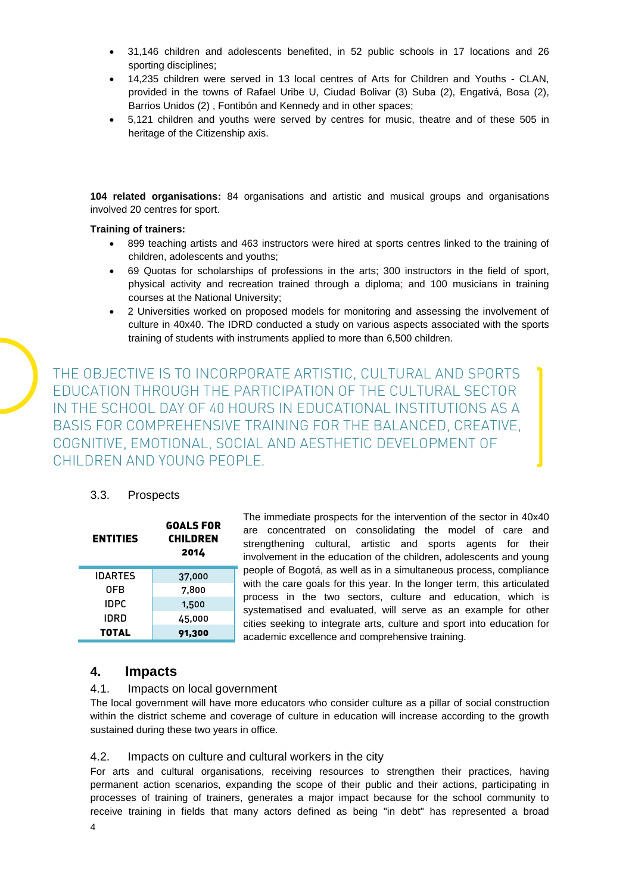- 31,146 children and adolescents benefited, in 52 public schools in 17 locations and 26 sporting disciplines;
- 14,235 children were served in 13 local centres of Arts for Children and Youths CLAN, provided in the towns of Rafael Uribe U, Ciudad Bolivar (3) Suba (2), Engativá, Bosa (2), Barrios Unidos (2) , Fontibón and Kennedy and in other spaces;
- 5,121 children and youths were served by centres for music, theatre and of these 505 in heritage of the Citizenship axis.

**104 related organisations:** 84 organisations and artistic and musical groups and organisations involved 20 centres for sport.

#### **Training of trainers:**

- 899 teaching artists and 463 instructors were hired at sports centres linked to the training of children, adolescents and youths;
- 69 Quotas for scholarships of professions in the arts; 300 instructors in the field of sport, physical activity and recreation trained through a diploma; and 100 musicians in training courses at the National University;
- 2 Universities worked on proposed models for monitoring and assessing the involvement of culture in 40x40. The IDRD conducted a study on various aspects associated with the sports training of students with instruments applied to more than 6,500 children.

THE OBJECTIVE IS TO INCORPORATE ARTISTIC, CULTURAL AND SPORTS EDUCATION THROUGH THE PARTICIPATION OF THE CULTURAL SECTOR IN THE SCHOOL DAY OF 40 HOURS IN EDUCATIONAL INSTITUTIONS AS A BASIS FOR COMPREHENSIVE TRAINING FOR THE BALANCED, CREATIVE, COGNITIVE, EMOTIONAL, SOCIAL AND AESTHETIC DEVELOPMENT OF CHILDREN AND YOUNG PEOPLE.

#### 3.3. Prospects

| <b>ENTITIES</b> | <b>GOALS FOR</b><br>CHILDREN<br>2014 |
|-----------------|--------------------------------------|
| IDARTES         | 37,000                               |
| 0FB             | 7,800                                |
| <b>IDPC</b>     | 1,500                                |
| IDRD            | 45,000                               |
| TOTAL           | 91,300                               |

The immediate prospects for the intervention of the sector in 40x40 are concentrated on consolidating the model of care and strengthening cultural, artistic and sports agents for their involvement in the education of the children, adolescents and young people of Bogotá, as well as in a simultaneous process, compliance with the care goals for this year. In the longer term, this articulated process in the two sectors, culture and education, which is systematised and evaluated, will serve as an example for other cities seeking to integrate arts, culture and sport into education for academic excellence and comprehensive training.

### **4. Impacts**

#### 4.1. Impacts on local government

The local government will have more educators who consider culture as a pillar of social construction within the district scheme and coverage of culture in education will increase according to the growth sustained during these two years in office.

#### 4.2. Impacts on culture and cultural workers in the city

For arts and cultural organisations, receiving resources to strengthen their practices, having permanent action scenarios, expanding the scope of their public and their actions, participating in processes of training of trainers, generates a major impact because for the school community to receive training in fields that many actors defined as being "in debt" has represented a broad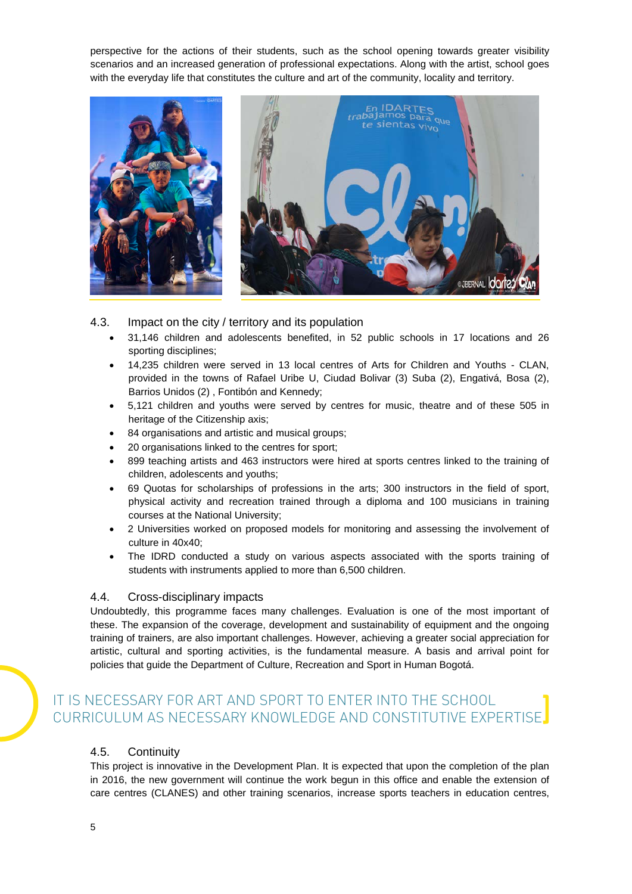perspective for the actions of their students, such as the school opening towards greater visibility scenarios and an increased generation of professional expectations. Along with the artist, school goes with the everyday life that constitutes the culture and art of the community, locality and territory.





- 4.3. Impact on the city / territory and its population
	- 31,146 children and adolescents benefited, in 52 public schools in 17 locations and 26 sporting disciplines;
	- 14,235 children were served in 13 local centres of Arts for Children and Youths CLAN, provided in the towns of Rafael Uribe U, Ciudad Bolivar (3) Suba (2), Engativá, Bosa (2), Barrios Unidos (2) , Fontibón and Kennedy;
	- 5,121 children and youths were served by centres for music, theatre and of these 505 in heritage of the Citizenship axis;
	- 84 organisations and artistic and musical groups;
	- 20 organisations linked to the centres for sport;
	- 899 teaching artists and 463 instructors were hired at sports centres linked to the training of children, adolescents and youths;
	- 69 Quotas for scholarships of professions in the arts; 300 instructors in the field of sport, physical activity and recreation trained through a diploma and 100 musicians in training courses at the National University;
	- 2 Universities worked on proposed models for monitoring and assessing the involvement of culture in 40x40;
	- The IDRD conducted a study on various aspects associated with the sports training of students with instruments applied to more than 6,500 children.

#### 4.4. Cross-disciplinary impacts

Undoubtedly, this programme faces many challenges. Evaluation is one of the most important of these. The expansion of the coverage, development and sustainability of equipment and the ongoing training of trainers, are also important challenges. However, achieving a greater social appreciation for artistic, cultural and sporting activities, is the fundamental measure. A basis and arrival point for policies that guide the Department of Culture, Recreation and Sport in Human Bogotá.

## IT IS NECESSARY FOR ART AND SPORT TO ENTER INTO THE SCHOOL CURRICULUM AS NECESSARY KNOWLEDGE AND CONSTITUTIVE EXPERTISE.

#### 4.5. Continuity

This project is innovative in the Development Plan. It is expected that upon the completion of the plan in 2016, the new government will continue the work begun in this office and enable the extension of care centres (CLANES) and other training scenarios, increase sports teachers in education centres,